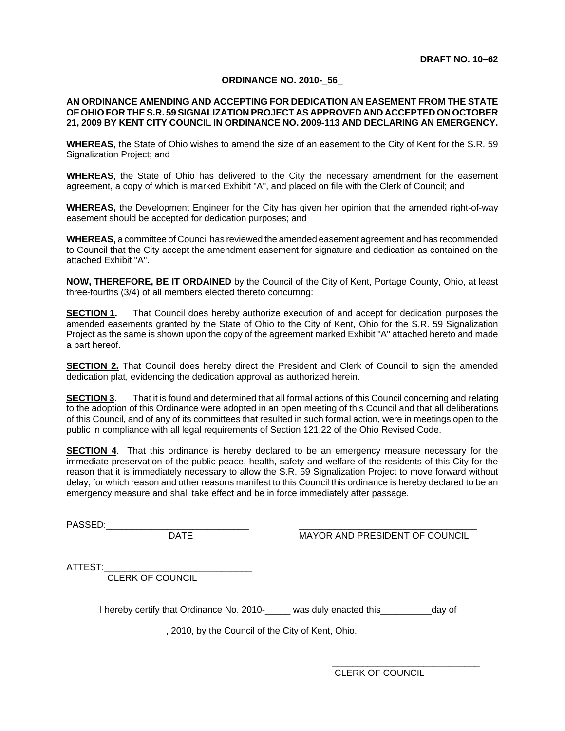#### **ORDINANCE NO. 2010-\_56\_**

#### **AN ORDINANCE AMENDING AND ACCEPTING FOR DEDICATION AN EASEMENT FROM THE STATE OF OHIO FOR THE S.R. 59 SIGNALIZATION PROJECT AS APPROVED AND ACCEPTED ON OCTOBER 21, 2009 BY KENT CITY COUNCIL IN ORDINANCE NO. 2009-113 AND DECLARING AN EMERGENCY.**

**WHEREAS**, the State of Ohio wishes to amend the size of an easement to the City of Kent for the S.R. 59 Signalization Project; and

**WHEREAS**, the State of Ohio has delivered to the City the necessary amendment for the easement agreement, a copy of which is marked Exhibit "A", and placed on file with the Clerk of Council; and

**WHEREAS,** the Development Engineer for the City has given her opinion that the amended right-of-way easement should be accepted for dedication purposes; and

**WHEREAS,** a committee of Council has reviewed the amended easement agreement and has recommended to Council that the City accept the amendment easement for signature and dedication as contained on the attached Exhibit "A".

**NOW, THEREFORE, BE IT ORDAINED** by the Council of the City of Kent, Portage County, Ohio, at least three-fourths (3/4) of all members elected thereto concurring:

**SECTION 1.** That Council does hereby authorize execution of and accept for dedication purposes the amended easements granted by the State of Ohio to the City of Kent, Ohio for the S.R. 59 Signalization Project as the same is shown upon the copy of the agreement marked Exhibit "A" attached hereto and made a part hereof.

**SECTION 2.** That Council does hereby direct the President and Clerk of Council to sign the amended dedication plat, evidencing the dedication approval as authorized herein.

**SECTION 3.** That it is found and determined that all formal actions of this Council concerning and relating to the adoption of this Ordinance were adopted in an open meeting of this Council and that all deliberations of this Council, and of any of its committees that resulted in such formal action, were in meetings open to the public in compliance with all legal requirements of Section 121.22 of the Ohio Revised Code.

**SECTION 4.** That this ordinance is hereby declared to be an emergency measure necessary for the immediate preservation of the public peace, health, safety and welfare of the residents of this City for the reason that it is immediately necessary to allow the S.R. 59 Signalization Project to move forward without delay, for which reason and other reasons manifest to this Council this ordinance is hereby declared to be an emergency measure and shall take effect and be in force immediately after passage.

PASSED:\_\_\_\_\_\_\_\_\_\_\_\_\_\_\_\_\_\_\_\_\_\_\_\_\_\_\_\_ \_\_\_\_\_\_\_\_\_\_\_\_\_\_\_\_\_\_\_\_\_\_\_\_\_\_\_\_\_\_\_\_\_\_\_

MAYOR AND PRESIDENT OF COUNCIL

ATTEST:

CLERK OF COUNCIL

I hereby certify that Ordinance No. 2010-\_\_\_\_\_ was duly enacted this\_\_\_\_\_\_\_\_\_\_day of

, 2010, by the Council of the City of Kent, Ohio.

CLERK OF COUNCIL

\_\_\_\_\_\_\_\_\_\_\_\_\_\_\_\_\_\_\_\_\_\_\_\_\_\_\_\_\_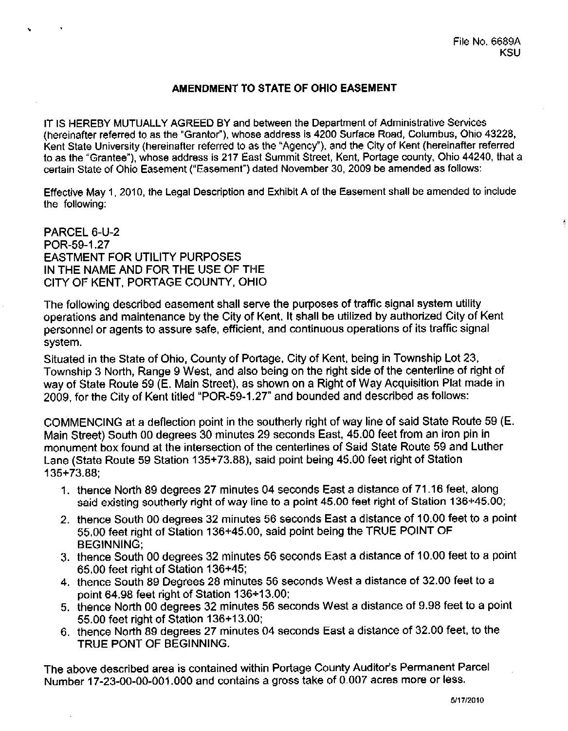## AMENDMENT TO STATE OF OHIO EASEMENT

IT IS HEREBY MUTUALLY AGREED BY and between the Department of Administrative Services (hereinafter referred to as the "Grantor"), whose address is 4200 Surface Road, Columbus, Ohio 43228. Kent State University (hereinafter referred to as the "Agency"), and the City of Kent (hereinafter referred to as the "Grantee"), whose address is 217 East Summit Street, Kent, Portage county, Ohio 44240, that a certain State of Ohio Easement ("Easement") dated November 30, 2009 be amended as follows:

Effective May 1, 2010, the Legal Description and Exhibit A of the Easement shall be amended to include the following:

PARCEL 6-U-2 POR-59-1.27 **EASTMENT FOR UTILITY PURPOSES** IN THE NAME AND FOR THE USE OF THE CITY OF KENT, PORTAGE COUNTY, OHIO

The following described easement shall serve the purposes of traffic signal system utility operations and maintenance by the City of Kent. It shall be utilized by authorized City of Kent personnel or agents to assure safe, efficient, and continuous operations of its traffic signal system.

Situated in the State of Ohio, County of Portage, City of Kent, being in Township Lot 23, Township 3 North, Range 9 West, and also being on the right side of the centerline of right of way of State Route 59 (E. Main Street), as shown on a Right of Way Acquisition Plat made in 2009, for the City of Kent titled "POR-59-1.27" and bounded and described as follows:

COMMENCING at a deflection point in the southerly right of way line of said State Route 59 (E. Main Street) South 00 degrees 30 minutes 29 seconds East, 45.00 feet from an iron pin in monument box found at the intersection of the centerlines of Said State Route 59 and Luther Lane (State Route 59 Station 135+73.88), said point being 45.00 feet right of Station  $135 + 73.88$ 

- 1. thence North 89 degrees 27 minutes 04 seconds East a distance of 71.16 feet, along said existing southerly right of way line to a point 45.00 feet right of Station 136+45.00;
- 2. thence South 00 degrees 32 minutes 56 seconds East a distance of 10.00 feet to a point 55.00 feet right of Station 136+45.00, said point being the TRUE POINT OF **BEGINNING:**
- 3. thence South 00 degrees 32 minutes 56 seconds East a distance of 10.00 feet to a point 65.00 feet right of Station 136+45;
- 4. thence South 89 Degrees 28 minutes 56 seconds West a distance of 32.00 feet to a point 64.98 feet right of Station 136+13.00:
- 5. thence North 00 degrees 32 minutes 56 seconds West a distance of 9.98 feet to a point 55.00 feet right of Station 136+13.00;
- 6. thence North 89 degrees 27 minutes 04 seconds East a distance of 32.00 feet, to the TRUE PONT OF BEGINNING.

The above described area is contained within Portage County Auditor's Permanent Parcel Number 17-23-00-00-001.000 and contains a gross take of 0.007 acres more or less.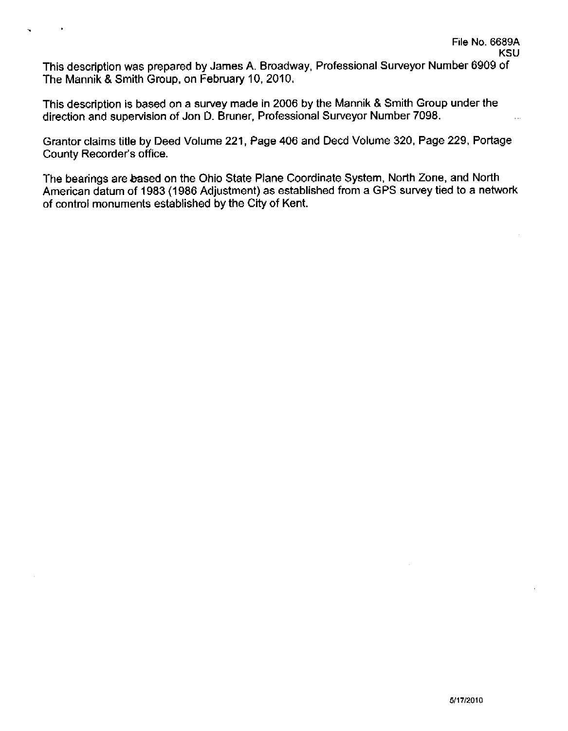This description was prepared by James A. Broadway, Professional Surveyor Number 6909 of The Mannik & Smith Group, on February 10, 2010.

 $\ddot{\phantom{0}}$ 

This description is based on a survey made in 2006 by the Mannik & Smith Group under the direction and supervision of Jon D. Bruner, Professional Surveyor Number 7098.

Grantor claims title by Deed Volume 221, Page 406 and Decd Volume 320, Page 229, Portage County Recorder's office.

The bearings are based on the Ohio State Plane Coordinate System, North Zone, and North American datum of 1983 (1986 Adjustment) as established from a GPS survey tied to a network of control monuments established by the City of Kent.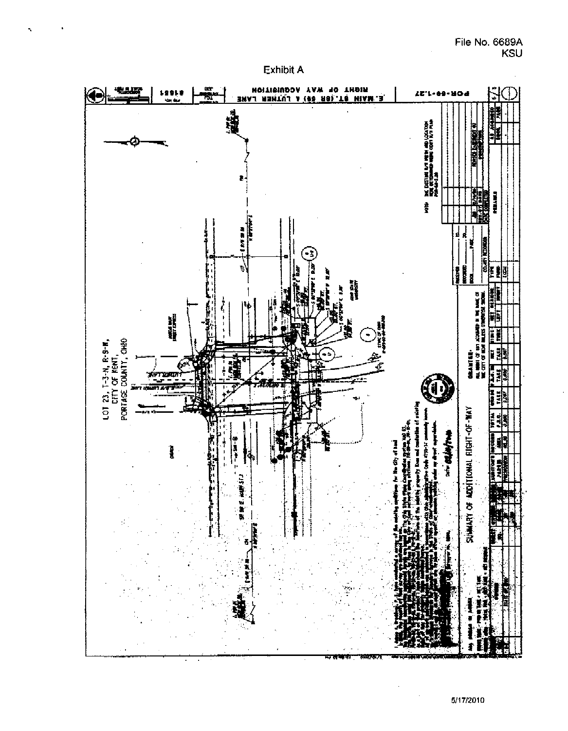### File No. 6689A **KSU**





5/17/2010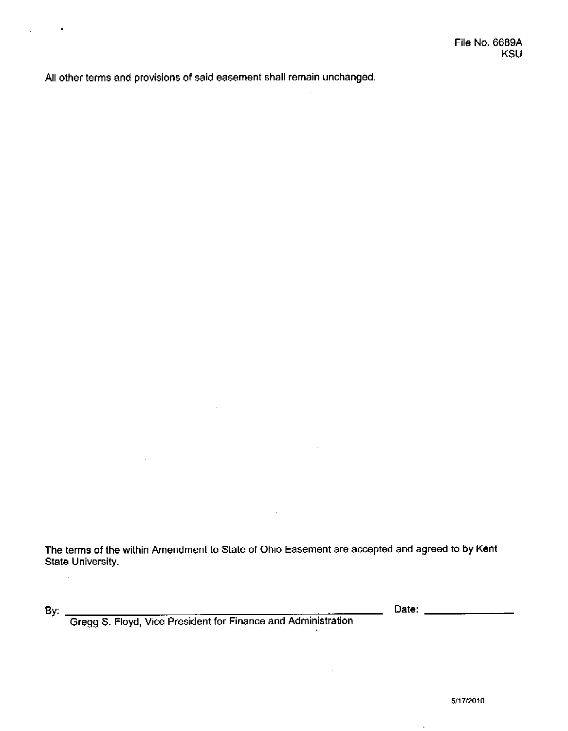All other terms and provisions of said easement shall remain unchanged.

The terms of the within Amendment to State of Ohio Easement are accepted and agreed to by Kent **State University.** 

k,

 $\ddot{\phantom{a}}$ 

By: Gregg S. Floyd, Vice President for Finance and Administration

 $\bar{z}$ 

\_\_\_\_\_\_\_\_ Date: \_\_\_\_\_\_\_\_\_\_\_\_\_\_\_\_\_\_\_\_\_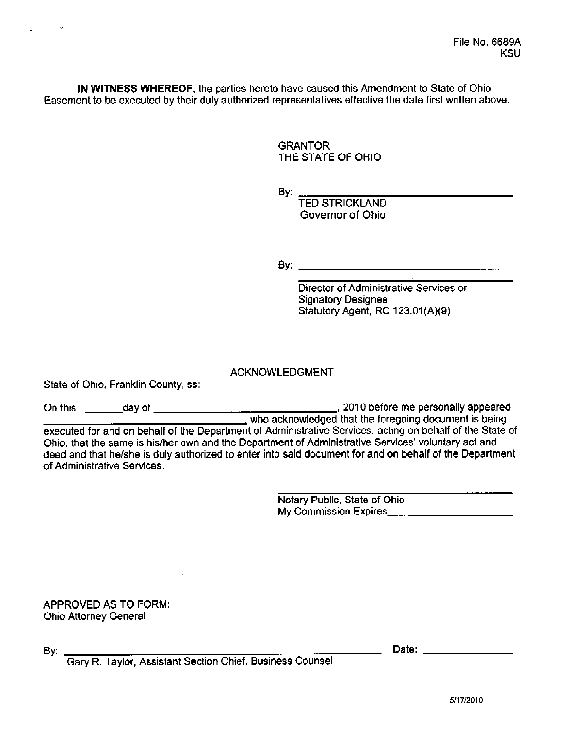IN WITNESS WHEREOF, the parties hereto have caused this Amendment to State of Ohio Easement to be executed by their duly authorized representatives effective the date first written above.

> **GRANTOR** THE STATE OF OHIO

By:

TED STRICKLAND Governor of Ohio

By: The contract of the contract of the contract of the contract of the contract of the contract of the contract of the contract of the contract of the contract of the contract of the contract of the contract of the contra

Director of Administrative Services or **Signatory Designee** Statutory Agent, RC 123.01(A)(9)

**ACKNOWLEDGMENT** 

State of Ohio, Franklin County, ss:

executed for and on behalf of the Department of Administrative Services, acting on behalf of the State of Ohio, that the same is his/her own and the Department of Administrative Services' voluntary act and deed and that he/she is duly authorized to enter into said document for and on behalf of the Department of Administrative Services.

> Notary Public, State of Ohio

**APPROVED AS TO FORM: Ohio Attorney General** 

By:

Date: the contract of the contract of the contract of the contract of the contract of the contract of the contract of the contract of the contract of the contract of the contract of the contract of the contract of the cont

Gary R. Taylor, Assistant Section Chief, Business Counsel

 $\mathcal{L}_{\mathcal{A}}$